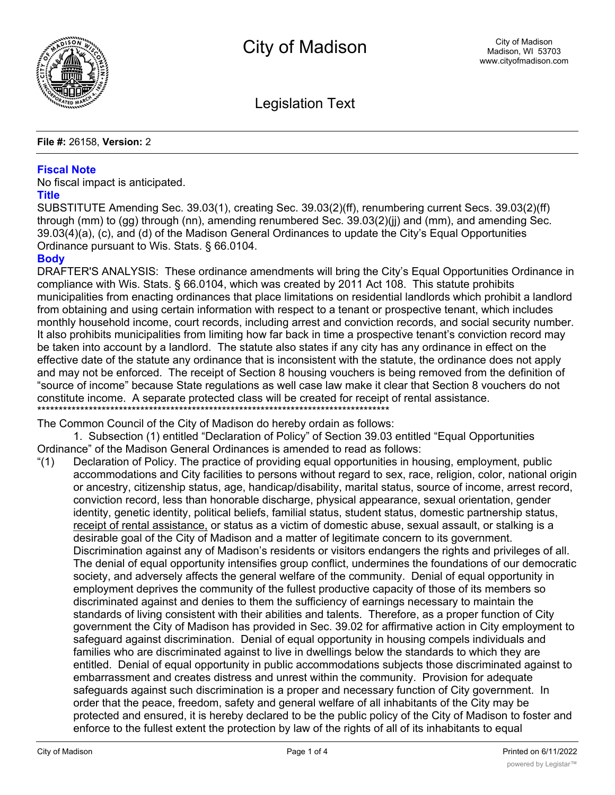

Legislation Text

#### **File #:** 26158, **Version:** 2

### **Fiscal Note**

No fiscal impact is anticipated.

#### **Title**

SUBSTITUTE Amending Sec. 39.03(1), creating Sec. 39.03(2)(ff), renumbering current Secs. 39.03(2)(ff) through (mm) to (gg) through (nn), amending renumbered Sec. 39.03(2)(jj) and (mm), and amending Sec. 39.03(4)(a), (c), and (d) of the Madison General Ordinances to update the City's Equal Opportunities Ordinance pursuant to Wis. Stats. § 66.0104.

# **Body**

DRAFTER'S ANALYSIS: These ordinance amendments will bring the City's Equal Opportunities Ordinance in compliance with Wis. Stats. § 66.0104, which was created by 2011 Act 108. This statute prohibits municipalities from enacting ordinances that place limitations on residential landlords which prohibit a landlord from obtaining and using certain information with respect to a tenant or prospective tenant, which includes monthly household income, court records, including arrest and conviction records, and social security number. It also prohibits municipalities from limiting how far back in time a prospective tenant's conviction record may be taken into account by a landlord. The statute also states if any city has any ordinance in effect on the effective date of the statute any ordinance that is inconsistent with the statute, the ordinance does not apply and may not be enforced. The receipt of Section 8 housing vouchers is being removed from the definition of "source of income" because State regulations as well case law make it clear that Section 8 vouchers do not constitute income. A separate protected class will be created for receipt of rental assistance. \*\*\*\*\*\*\*\*\*\*\*\*\*\*\*\*\*\*\*\*\*\*\*\*\*\*\*\*\*\*\*\*\*\*\*\*\*\*\*\*\*\*\*\*\*\*\*\*\*\*\*\*\*\*\*\*\*\*\*\*\*\*\*\*\*\*\*\*\*\*\*\*\*\*\*\*\*\*\*\*\*\*

The Common Council of the City of Madison do hereby ordain as follows:

1. Subsection (1) entitled "Declaration of Policy" of Section 39.03 entitled "Equal Opportunities Ordinance" of the Madison General Ordinances is amended to read as follows:

"(1) Declaration of Policy. The practice of providing equal opportunities in housing, employment, public accommodations and City facilities to persons without regard to sex, race, religion, color, national origin or ancestry, citizenship status, age, handicap/disability, marital status, source of income, arrest record, conviction record, less than honorable discharge, physical appearance, sexual orientation, gender identity, genetic identity, political beliefs, familial status, student status, domestic partnership status, receipt of rental assistance, or status as a victim of domestic abuse, sexual assault, or stalking is a desirable goal of the City of Madison and a matter of legitimate concern to its government. Discrimination against any of Madison's residents or visitors endangers the rights and privileges of all. The denial of equal opportunity intensifies group conflict, undermines the foundations of our democratic society, and adversely affects the general welfare of the community. Denial of equal opportunity in employment deprives the community of the fullest productive capacity of those of its members so discriminated against and denies to them the sufficiency of earnings necessary to maintain the standards of living consistent with their abilities and talents. Therefore, as a proper function of City government the City of Madison has provided in Sec. 39.02 for affirmative action in City employment to safeguard against discrimination. Denial of equal opportunity in housing compels individuals and families who are discriminated against to live in dwellings below the standards to which they are entitled. Denial of equal opportunity in public accommodations subjects those discriminated against to embarrassment and creates distress and unrest within the community. Provision for adequate safeguards against such discrimination is a proper and necessary function of City government. In order that the peace, freedom, safety and general welfare of all inhabitants of the City may be protected and ensured, it is hereby declared to be the public policy of the City of Madison to foster and enforce to the fullest extent the protection by law of the rights of all of its inhabitants to equal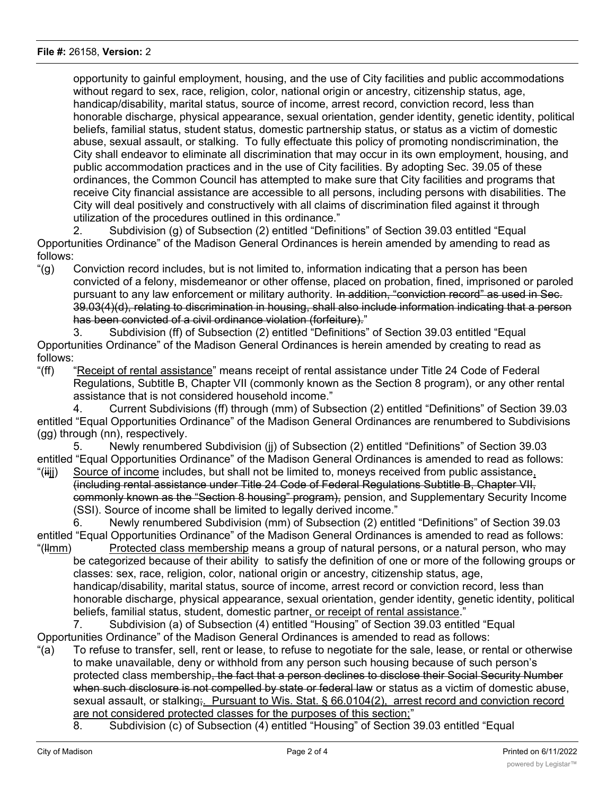opportunity to gainful employment, housing, and the use of City facilities and public accommodations without regard to sex, race, religion, color, national origin or ancestry, citizenship status, age, handicap/disability, marital status, source of income, arrest record, conviction record, less than honorable discharge, physical appearance, sexual orientation, gender identity, genetic identity, political beliefs, familial status, student status, domestic partnership status, or status as a victim of domestic abuse, sexual assault, or stalking. To fully effectuate this policy of promoting nondiscrimination, the City shall endeavor to eliminate all discrimination that may occur in its own employment, housing, and public accommodation practices and in the use of City facilities. By adopting Sec. 39.05 of these ordinances, the Common Council has attempted to make sure that City facilities and programs that receive City financial assistance are accessible to all persons, including persons with disabilities. The City will deal positively and constructively with all claims of discrimination filed against it through utilization of the procedures outlined in this ordinance."

2. Subdivision (g) of Subsection (2) entitled "Definitions" of Section 39.03 entitled "Equal Opportunities Ordinance" of the Madison General Ordinances is herein amended by amending to read as follows:

"(g) Conviction record includes, but is not limited to, information indicating that a person has been convicted of a felony, misdemeanor or other offense, placed on probation, fined, imprisoned or paroled pursuant to any law enforcement or military authority. In addition, "conviction record" as used in Sec. 39.03(4)(d), relating to discrimination in housing, shall also include information indicating that a person has been convicted of a civil ordinance violation (forfeiture)."

3. Subdivision (ff) of Subsection (2) entitled "Definitions" of Section 39.03 entitled "Equal Opportunities Ordinance" of the Madison General Ordinances is herein amended by creating to read as follows:

"(ff) "Receipt of rental assistance" means receipt of rental assistance under Title 24 Code of Federal Regulations, Subtitle B, Chapter VII (commonly known as the Section 8 program), or any other rental assistance that is not considered household income."

4. Current Subdivisions (ff) through (mm) of Subsection (2) entitled "Definitions" of Section 39.03 entitled "Equal Opportunities Ordinance" of the Madison General Ordinances are renumbered to Subdivisions (gg) through (nn), respectively.

5. Newly renumbered Subdivision (jj) of Subsection (2) entitled "Definitions" of Section 39.03 entitled "Equal Opportunities Ordinance" of the Madison General Ordinances is amended to read as follows:

"(iij) Source of income includes, but shall not be limited to, moneys received from public assistance, (including rental assistance under Title 24 Code of Federal Regulations Subtitle B, Chapter VII, commonly known as the "Section 8 housing" program), pension, and Supplementary Security Income (SSI). Source of income shall be limited to legally derived income."

6. Newly renumbered Subdivision (mm) of Subsection (2) entitled "Definitions" of Section 39.03 entitled "Equal Opportunities Ordinance" of the Madison General Ordinances is amended to read as follows:

"(llmm) Protected class membership means a group of natural persons, or a natural person, who may be categorized because of their ability to satisfy the definition of one or more of the following groups or classes: sex, race, religion, color, national origin or ancestry, citizenship status, age, handicap/disability, marital status, source of income, arrest record or conviction record, less than honorable discharge, physical appearance, sexual orientation, gender identity, genetic identity, political beliefs, familial status, student, domestic partner, or receipt of rental assistance."

7. Subdivision (a) of Subsection (4) entitled "Housing" of Section 39.03 entitled "Equal Opportunities Ordinance" of the Madison General Ordinances is amended to read as follows:

- "(a) To refuse to transfer, sell, rent or lease, to refuse to negotiate for the sale, lease, or rental or otherwise to make unavailable, deny or withhold from any person such housing because of such person's protected class membership<del>, the fact that a person declines to disclose their Social Security Number</del> when such disclosure is not compelled by state or federal law or status as a victim of domestic abuse, sexual assault, or stalking; Pursuant to Wis. Stat. § 66.0104(2), arrest record and conviction record are not considered protected classes for the purposes of this section;"
	- 8. Subdivision (c) of Subsection (4) entitled "Housing" of Section 39.03 entitled "Equal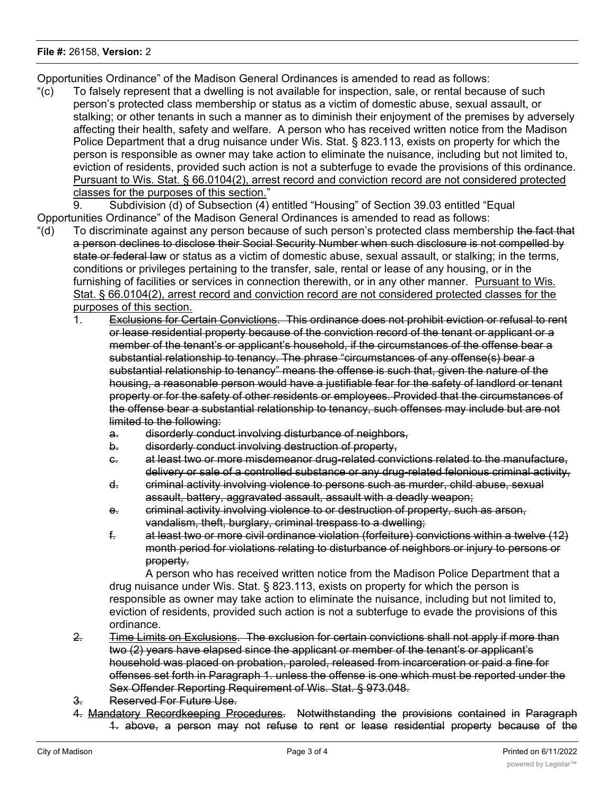## **File #:** 26158, **Version:** 2

Opportunities Ordinance" of the Madison General Ordinances is amended to read as follows:

"(c) To falsely represent that a dwelling is not available for inspection, sale, or rental because of such person's protected class membership or status as a victim of domestic abuse, sexual assault, or stalking; or other tenants in such a manner as to diminish their enjoyment of the premises by adversely affecting their health, safety and welfare. A person who has received written notice from the Madison Police Department that a drug nuisance under Wis. Stat. § 823.113, exists on property for which the person is responsible as owner may take action to eliminate the nuisance, including but not limited to, eviction of residents, provided such action is not a subterfuge to evade the provisions of this ordinance. Pursuant to Wis. Stat. § 66.0104(2), arrest record and conviction record are not considered protected classes for the purposes of this section."

9. Subdivision (d) of Subsection (4) entitled "Housing" of Section 39.03 entitled "Equal Opportunities Ordinance" of the Madison General Ordinances is amended to read as follows:

- "(d) To discriminate against any person because of such person's protected class membership the fact that a person declines to disclose their Social Security Number when such disclosure is not compelled by state or federal law or status as a victim of domestic abuse, sexual assault, or stalking; in the terms, conditions or privileges pertaining to the transfer, sale, rental or lease of any housing, or in the furnishing of facilities or services in connection therewith, or in any other manner. Pursuant to Wis. Stat. § 66.0104(2), arrest record and conviction record are not considered protected classes for the purposes of this section.
	- 1. Exclusions for Certain Convictions. This ordinance does not prohibit eviction or refusal to rent or lease residential property because of the conviction record of the tenant or applicant or a member of the tenant's or applicant's household, if the circumstances of the offense bear a substantial relationship to tenancy. The phrase "circumstances of any offense(s) bear a substantial relationship to tenancy" means the offense is such that, given the nature of the housing, a reasonable person would have a justifiable fear for the safety of landlord or tenant property or for the safety of other residents or employees. Provided that the circumstances of the offense bear a substantial relationship to tenancy, such offenses may include but are not limited to the following:
		- a. disorderly conduct involving disturbance of neighbors,
		- b. disorderly conduct involving destruction of property,
		- c. at least two or more misdemeanor drug-related convictions related to the manufacture, delivery or sale of a controlled substance or any drug-related felonious criminal activity,
		- d. criminal activity involving violence to persons such as murder, child abuse, sexual assault, battery, aggravated assault, assault with a deadly weapon;
		- e. criminal activity involving violence to or destruction of property, such as arson, vandalism, theft, burglary, criminal trespass to a dwelling;
		- f. at least two or more civil ordinance violation (forfeiture) convictions within a twelve (12) month period for violations relating to disturbance of neighbors or injury to persons or property.

A person who has received written notice from the Madison Police Department that a drug nuisance under Wis. Stat. § 823.113, exists on property for which the person is responsible as owner may take action to eliminate the nuisance, including but not limited to, eviction of residents, provided such action is not a subterfuge to evade the provisions of this ordinance.

- 2. Time Limits on Exclusions. The exclusion for certain convictions shall not apply if more than two (2) years have elapsed since the applicant or member of the tenant's or applicant's household was placed on probation, paroled, released from incarceration or paid a fine for offenses set forth in Paragraph 1. unless the offense is one which must be reported under the Sex Offender Reporting Requirement of Wis. Stat. § 973.048.
- 3. Reserved For Future Use.
- 4. Mandatory Recordkeeping Procedures. Notwithstanding the provisions contained in Paragraph 1. above, a person may not refuse to rent or lease residential property because of the

conviction record of the applicant or a member of the application  $\mathcal{C}$  application  $\mathcal{C}$